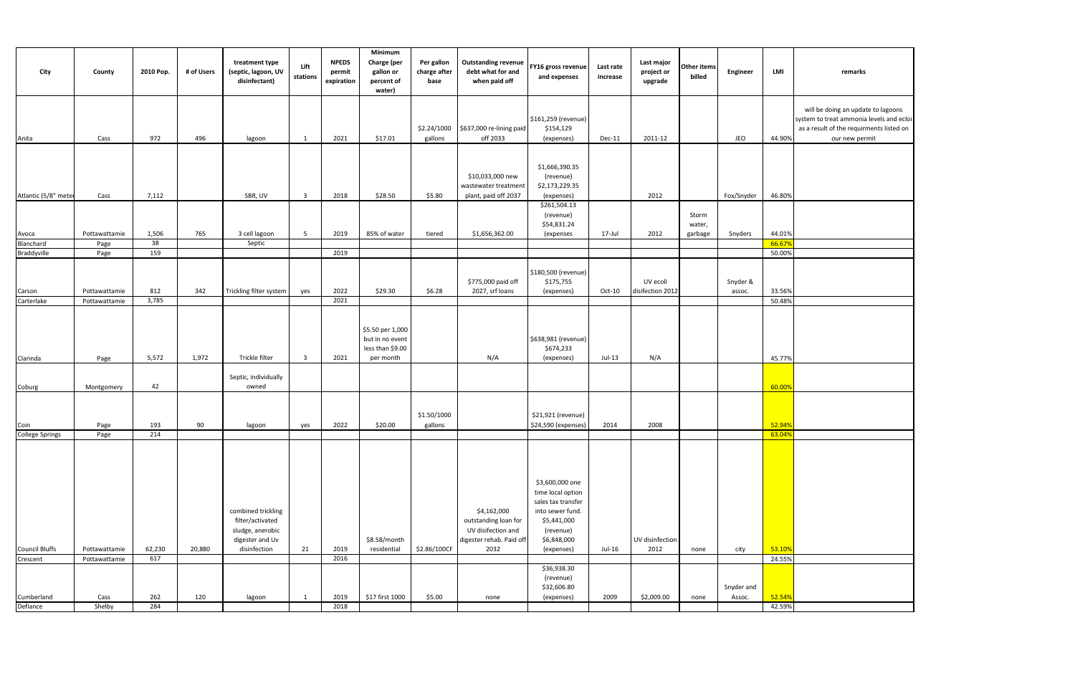| City                   | County                | 2010 Pop.   | # of Users | treatment type<br>(septic, lagoon, UV<br>disinfectant)                                        | Lift<br>stations        | <b>NPEDS</b><br>permit<br>expiration | Minimum<br>Charge (per<br>gallon or<br>percent of<br>water)          | Per gallon<br>charge after<br>base | <b>Outstanding revenue</b><br>debt what for and<br>when paid off                              | FY16 gross revenue<br>and expenses                                                                                                      | Last rate<br>increase | Last major<br>project or<br>upgrade | Other items<br>billed | <b>Engineer</b>      | LMI              | remarks                                                                                                                                      |
|------------------------|-----------------------|-------------|------------|-----------------------------------------------------------------------------------------------|-------------------------|--------------------------------------|----------------------------------------------------------------------|------------------------------------|-----------------------------------------------------------------------------------------------|-----------------------------------------------------------------------------------------------------------------------------------------|-----------------------|-------------------------------------|-----------------------|----------------------|------------------|----------------------------------------------------------------------------------------------------------------------------------------------|
| Anita                  | Cass                  | 972         | 496        | lagoon                                                                                        | 1                       | 2021                                 | \$17.01                                                              | \$2.24/1000<br>gallons             | \$637,000 re-lining paid<br>off 2033                                                          | \$161,259 (revenue)<br>\$154,129<br>(expenses)                                                                                          | Dec-11                | 2011-12                             |                       | JEO                  | 44.90%           | will be doing an update to lagoons<br>system to treat ammonia levels and ecloi<br>as a result of the requirments listed on<br>our new permit |
|                        |                       |             |            |                                                                                               |                         |                                      |                                                                      |                                    | \$10,033,000 new<br>wastewater treatment                                                      | \$1,666,390.35<br>(revenue)<br>\$2,173,229.35                                                                                           |                       |                                     |                       |                      |                  |                                                                                                                                              |
| Atlantic (5/8" mete    | Cass                  | 7,112       |            | SBR, UV                                                                                       | $\overline{\mathbf{3}}$ | 2018                                 | \$28.50                                                              | \$5.80                             | plant, paid off 2037                                                                          | (expenses)                                                                                                                              |                       | 2012                                |                       | Fox/Snyder           | 46.80%           |                                                                                                                                              |
|                        |                       |             |            |                                                                                               |                         |                                      |                                                                      |                                    |                                                                                               | \$261,504.13<br>(revenue)<br>\$54,831.24                                                                                                |                       |                                     | Storm<br>water,       |                      |                  |                                                                                                                                              |
| Avoca<br>Blanchard     | Pottawattamie<br>Page | 1,506<br>38 | 765        | 3 cell lagoon<br>Septic                                                                       | $5\overline{5}$         | 2019                                 | 85% of water                                                         | tiered                             | \$1,656,362.00                                                                                | (expenses                                                                                                                               | 17-Jul                | 2012                                | garbage               | Snyders              | 44.01%<br>66.67% |                                                                                                                                              |
| Braddyville            | Page                  | 159         |            |                                                                                               |                         | 2019                                 |                                                                      |                                    |                                                                                               |                                                                                                                                         |                       |                                     |                       |                      | 50.00%           |                                                                                                                                              |
| Carson                 | Pottawattamie         | 812         | 342        | Trickling filter system                                                                       | yes                     | 2022                                 | \$29.30                                                              | \$6.28                             | \$775,000 paid off<br>2027, srf loans                                                         | \$180,500 (revenue)<br>\$175,755<br>(expenses)                                                                                          | $Oct-10$              | UV ecoli<br>disifection 2012        |                       | Snyder &<br>assoc.   | 33.56%           |                                                                                                                                              |
| Carterlake             | Pottawattamie         | 3,785       |            |                                                                                               |                         | 2021                                 |                                                                      |                                    |                                                                                               |                                                                                                                                         |                       |                                     |                       |                      | 50.48%           |                                                                                                                                              |
| Clarinda               | Page                  | 5,572       | 1,972      | Trickle filter                                                                                | $\overline{\mathbf{3}}$ | 2021                                 | \$5.50 per 1,000<br>but in no event<br>less than \$9.00<br>per month |                                    | N/A                                                                                           | \$638,981 (revenue)<br>\$674,233<br>(expenses)                                                                                          | Jul-13                | N/A                                 |                       |                      | 45.77%           |                                                                                                                                              |
| Coburg                 | Montgomery            | 42          |            | Septic, individually<br>owned                                                                 |                         |                                      |                                                                      |                                    |                                                                                               |                                                                                                                                         |                       |                                     |                       |                      | 60.00%           |                                                                                                                                              |
| Coin                   | Page                  | 193         | 90         | lagoon                                                                                        | yes                     | 2022                                 | \$20.00                                                              | \$1.50/1000<br>gallons             |                                                                                               | \$21,921 (revenue)<br>\$24,590 (expenses)                                                                                               | 2014                  | 2008                                |                       |                      | 52.94%           |                                                                                                                                              |
| <b>College Springs</b> | Page                  | 214         |            |                                                                                               |                         |                                      |                                                                      |                                    |                                                                                               |                                                                                                                                         |                       |                                     |                       |                      | 63.04%           |                                                                                                                                              |
| <b>Council Bluffs</b>  | Pottawattamie         | 62,230      | 20,880     | combined trickling<br>filter/activated<br>sludge, anerobic<br>digester and Uv<br>disinfection | 21                      | 2019                                 | \$8.58/month<br>residential                                          | \$2.86/100CF                       | \$4,162,000<br>outstanding loan for<br>UV disifection and<br>digester rehab. Paid off<br>2032 | \$3,600,000 one<br>time local option<br>sales tax transfer<br>into sewer fund.<br>\$5,441,000<br>(revenue)<br>\$6,848,000<br>(expenses) | Jul-16                | UV disinfection<br>2012             | none                  | city                 | 53.10%           |                                                                                                                                              |
| Crescent               | Pottawattamie         | 617         |            |                                                                                               |                         | 2016                                 |                                                                      |                                    |                                                                                               | \$36,938.30                                                                                                                             |                       |                                     |                       |                      | 24.55%           |                                                                                                                                              |
| Cumberland             | Cass                  | 262         | 120        | lagoon                                                                                        | 1                       | 2019                                 | \$17 first 1000                                                      | \$5.00                             | none                                                                                          | (revenue)<br>\$32,606.80<br>(expenses)                                                                                                  | 2009                  | \$2,009.00                          | none                  | Snyder and<br>Assoc. | 52.54%           |                                                                                                                                              |
| Defiance               | Shelby                | 284         |            |                                                                                               |                         | 2018                                 |                                                                      |                                    |                                                                                               |                                                                                                                                         |                       |                                     |                       |                      | 42.59%           |                                                                                                                                              |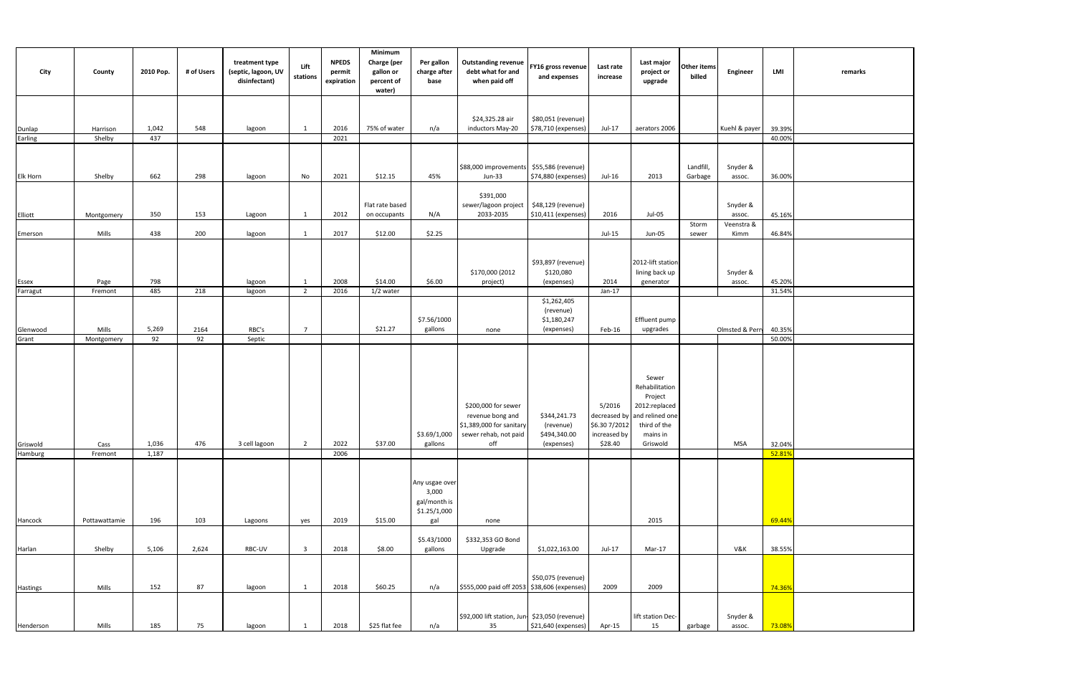| City                                | County          | 2010 Pop.      | # of Users  | treatment type<br>(septic, lagoon, UV<br>disinfectant) | Lift<br>stations               | <b>NPEDS</b><br>permit<br>expiration | Minimum<br>Charge (per<br>gallon or<br>percent of<br>water) | Per gallon<br>charge after<br>base                      | <b>Outstanding revenue</b><br>debt what for and<br>when paid off                                                  | FY16 gross revenue<br>and expenses                      | Last rate<br>increase                                             | Last major<br>project or<br>upgrade                                                                            | Other items<br>billed | Engineer           | LMI              | remarks |
|-------------------------------------|-----------------|----------------|-------------|--------------------------------------------------------|--------------------------------|--------------------------------------|-------------------------------------------------------------|---------------------------------------------------------|-------------------------------------------------------------------------------------------------------------------|---------------------------------------------------------|-------------------------------------------------------------------|----------------------------------------------------------------------------------------------------------------|-----------------------|--------------------|------------------|---------|
| Dunlap                              | Harrison        | 1,042          | 548         | lagoon                                                 | 1                              | 2016                                 | 75% of water                                                | n/a                                                     | \$24,325.28 air<br>inductors May-20                                                                               | \$80,051 (revenue)<br>\$78,710 (expenses)               | Jul-17                                                            | aerators 2006                                                                                                  |                       | Kuehl & payer      | 39.39%           |         |
| Earling                             | Shelby          | 437            |             |                                                        |                                | 2021                                 |                                                             |                                                         |                                                                                                                   |                                                         |                                                                   |                                                                                                                |                       |                    | 40.00%           |         |
|                                     |                 |                |             |                                                        |                                |                                      |                                                             |                                                         |                                                                                                                   |                                                         |                                                                   |                                                                                                                |                       |                    |                  |         |
| Elk Horn                            | Shelby          | 662            | 298         | lagoon                                                 | No                             | 2021                                 | \$12.15                                                     | 45%                                                     | \$88,000 improvements \$55,586 (revenue)<br>Jun-33                                                                | \$74,880 (expenses)                                     | Jul-16                                                            | 2013                                                                                                           | Landfill,<br>Garbage  | Snyder &<br>assoc. | 36.00%           |         |
| Elliott                             | Montgomery      | 350            | 153         | Lagoon                                                 | 1                              | 2012                                 | Flat rate based<br>on occupants                             | N/A                                                     | \$391,000<br>sewer/lagoon project<br>2033-2035                                                                    | \$48,129 (revenue)<br>\$10,411 (expenses)               | 2016                                                              | Jul-05                                                                                                         |                       | Snyder &<br>assoc. | 45.16%           |         |
|                                     | Mills           | 438            | 200         | lagoon                                                 | $\mathbf{1}$                   | 2017                                 | \$12.00                                                     | \$2.25                                                  |                                                                                                                   |                                                         | $Jul-15$                                                          | Jun-05                                                                                                         | Storm<br>sewer        | Veenstra &<br>Kimm | 46.84%           |         |
| Emerson<br><b>Essex</b><br>Farragut | Page<br>Fremont | 798<br>485     | 218         | lagoon<br>lagoon                                       | 1<br>$\overline{2}$            | 2008<br>2016                         | \$14.00<br>1/2 water                                        | \$6.00                                                  | \$170,000 (2012<br>project)                                                                                       | \$93,897 (revenue)<br>\$120,080<br>(expenses)           | 2014<br>Jan-17                                                    | 2012-lift station<br>lining back up<br>generator                                                               |                       | Snyder &<br>assoc. | 45.20%<br>31.54% |         |
|                                     |                 |                |             |                                                        |                                |                                      |                                                             |                                                         |                                                                                                                   | \$1,262,405                                             |                                                                   |                                                                                                                |                       |                    |                  |         |
| Glenwood                            | Mills           | 5,269          | 2164        | RBC's                                                  | $\overline{7}$                 |                                      | \$21.27                                                     | \$7.56/1000<br>gallons                                  | none                                                                                                              | (revenue)<br>\$1,180,247<br>(expenses)                  | Feb-16                                                            | Effluent pump<br>upgrades                                                                                      |                       | Olmsted & Perry    | 40.35%           |         |
| Grant                               | Montgomery      | 92             | 92          | Septic                                                 |                                |                                      |                                                             |                                                         |                                                                                                                   |                                                         |                                                                   |                                                                                                                |                       |                    | 50.00%           |         |
| Griswold<br>Hamburg                 | Cass<br>Fremont | 1,036<br>1,187 | 476         | 3 cell lagoon                                          | $\overline{2}$                 | 2022<br>2006                         | \$37.00                                                     | gallons                                                 | \$200,000 for sewer<br>revenue bong and<br>\$1,389,000 for sanitary<br>$$3.69/1,000$ sewer rehab, not paid<br>off | \$344,241.73<br>(revenue)<br>\$494,340.00<br>(expenses) | 5/2016<br>decreased by<br>\$6.307/2012<br>increased by<br>\$28.40 | Sewer<br>Rehabilitation<br>Project<br>2012:replaced<br>and relined one<br>third of the<br>mains in<br>Griswold |                       | <b>MSA</b>         | 32.04%<br>52.819 |         |
|                                     |                 |                |             |                                                        |                                |                                      |                                                             | Any usgae over<br>3,000<br>gal/month is<br>\$1.25/1,000 |                                                                                                                   |                                                         |                                                                   |                                                                                                                |                       |                    |                  |         |
| Hancock                             | Pottawattamie   | 196            | 103         | Lagoons                                                | yes<br>$\overline{\mathbf{3}}$ | 2019                                 | \$15.00                                                     | gal<br>\$5.43/1000                                      | none<br>\$332,353 GO Bond                                                                                         |                                                         |                                                                   | 2015                                                                                                           |                       |                    | 69.44%           |         |
| Harlan<br>Hastings                  | Shelby<br>Mills | 5,106<br>152   | 2,624<br>87 | RBC-UV<br>lagoon                                       | 1                              | 2018<br>2018                         | \$8.00<br>\$60.25                                           | gallons<br>n/a                                          | Upgrade<br>\$555,000 paid off 2053 \$38,606 (expenses)                                                            | \$1,022,163.00<br>\$50,075 (revenue)                    | Jul-17<br>2009                                                    | Mar-17<br>2009                                                                                                 |                       | V&K                | 38.55%<br>74.36% |         |
| Henderson                           | Mills           | 185            | 75          | lagoon                                                 | 1                              | 2018                                 | \$25 flat fee                                               | n/a                                                     | \$92,000 lift station, Jun- \$23,050 (revenue)<br>35                                                              | \$21,640 (expenses)                                     | Apr-15                                                            | lift station Dec-<br>15                                                                                        | garbage               | Snyder &<br>assoc. | 73.08%           |         |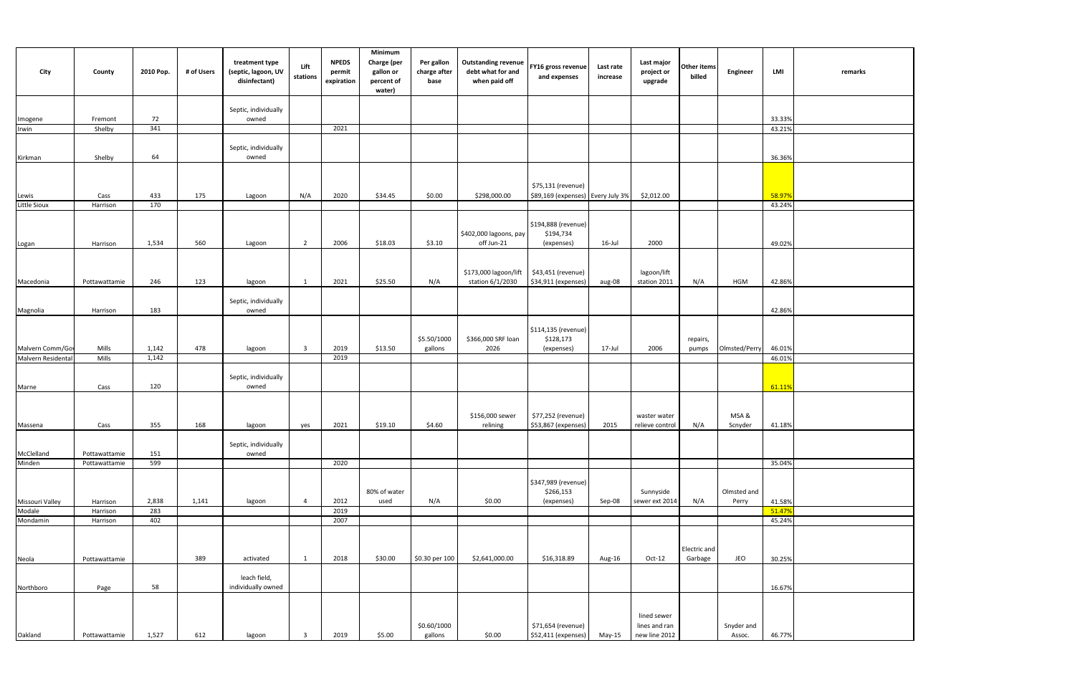| City                  | County                | 2010 Pop.    | # of Users | treatment type<br>(septic, lagoon, UV<br>disinfectant) | Lift<br>stations        | <b>NPEDS</b><br>permit<br>expiration | Minimum<br>Charge (per<br>gallon or<br>percent of<br>water) | Per gallon<br>charge after<br>base | <b>Outstanding revenue</b><br>debt what for and<br>when paid off | FY16 gross revenue<br>and expenses                      | Last rate<br>increase | Last major<br>project or<br>upgrade           | Other items<br>billed   | Engineer             | LMI              | remarks |
|-----------------------|-----------------------|--------------|------------|--------------------------------------------------------|-------------------------|--------------------------------------|-------------------------------------------------------------|------------------------------------|------------------------------------------------------------------|---------------------------------------------------------|-----------------------|-----------------------------------------------|-------------------------|----------------------|------------------|---------|
|                       | Fremont               | 72           |            | Septic, individually<br>owned                          |                         |                                      |                                                             |                                    |                                                                  |                                                         |                       |                                               |                         |                      | 33.33%           |         |
| Imogene<br>Irwin      | Shelby                | 341          |            |                                                        |                         | 2021                                 |                                                             |                                    |                                                                  |                                                         |                       |                                               |                         |                      | 43.21%           |         |
| Kirkman               | Shelby                | 64           |            | Septic, individually<br>owned                          |                         |                                      |                                                             |                                    |                                                                  |                                                         |                       |                                               |                         |                      | 36.36%           |         |
| Lewis<br>Little Sioux | Cass                  | 433          | 175        | Lagoon                                                 | N/A                     | 2020                                 | \$34.45                                                     | \$0.00                             | \$298,000.00                                                     | \$75,131 (revenue)<br>\$89,169 (expenses) Every July 3% |                       | \$2,012.00                                    |                         |                      | 58.97%           |         |
| Logan                 | Harrison<br>Harrison  | 170<br>1,534 | 560        | Lagoon                                                 | $\overline{2}$          | 2006                                 | \$18.03                                                     | \$3.10                             | \$402,000 lagoons, pay<br>off Jun-21                             | \$194,888 (revenue)<br>\$194,734<br>(expenses)          | 16-Jul                | 2000                                          |                         |                      | 43.24%<br>49.02% |         |
| Macedonia             | Pottawattamie         | 246          | 123        | lagoon                                                 | 1                       | 2021                                 | \$25.50                                                     | N/A                                | \$173,000 lagoon/lift<br>station 6/1/2030                        | \$43,451 (revenue)<br>\$34,911 (expenses)               | aug-08                | lagoon/lift<br>station 2011                   | N/A                     | <b>HGM</b>           | 42.86%           |         |
| Magnolia              | Harrison              | 183          |            | Septic, individually<br>owned                          |                         |                                      |                                                             |                                    |                                                                  |                                                         |                       |                                               |                         |                      | 42.86%           |         |
| Malvern Comm/Gov      | Mills                 | 1,142        | 478        | lagoon                                                 | $\overline{\mathbf{3}}$ | 2019                                 | \$13.50                                                     | \$5.50/1000<br>gallons             | \$366,000 SRF loan<br>2026                                       | \$114,135 (revenue)<br>\$128,173<br>(expenses)          | 17-Jul                | 2006                                          | repairs,<br>pumps       | Olmsted/Perry        | 46.01%           |         |
| Malvern Residental    | Mills                 | 1,142        |            |                                                        |                         | 2019                                 |                                                             |                                    |                                                                  |                                                         |                       |                                               |                         |                      | 46.01%           |         |
| Marne                 | Cass                  | 120          |            | Septic, individually<br>owned                          |                         |                                      |                                                             |                                    |                                                                  |                                                         |                       |                                               |                         |                      | 61.11%           |         |
| Massena               | Cass                  | 355          | 168        | lagoon                                                 | yes                     | 2021                                 | \$19.10                                                     | \$4.60                             | \$156,000 sewer<br>relining                                      | \$77,252 (revenue)<br>\$53,867 (expenses)               | 2015                  | waster water<br>relieve control               | N/A                     | MSA &<br>Scnyder     | 41.18%           |         |
| McClelland            | Pottawattamie         | 151          |            | Septic, individually<br>owned                          |                         |                                      |                                                             |                                    |                                                                  |                                                         |                       |                                               |                         |                      |                  |         |
| Minden                | Pottawattamie         | 599          |            |                                                        |                         | 2020                                 |                                                             |                                    |                                                                  |                                                         |                       |                                               |                         |                      | 35.04%           |         |
| Missouri Valley       | Harrison              | 2,838        | 1,141      | lagoon                                                 | $\overline{4}$          | 2012                                 | 80% of water<br>used                                        | N/A                                | \$0.00                                                           | \$347,989 (revenue)<br>\$266,153<br>(expenses)          | Sep-08                | Sunnyside<br>sewer ext 2014                   | N/A                     | Olmsted and<br>Perry | 41.58%           |         |
| Modale                | Harrison              | 283          |            |                                                        |                         | 2019                                 |                                                             |                                    |                                                                  |                                                         |                       |                                               |                         |                      | 51.47%           |         |
| Mondamin              | Harrison              | 402          | 389        | activated                                              | 1                       | 2007<br>2018                         | \$30.00                                                     | \$0.30 per 100                     | \$2,641,000.00                                                   | \$16,318.89                                             |                       | $Oct-12$                                      | Electric and<br>Garbage | JEO                  | 45.24%<br>30.25% |         |
| Neola<br>Northboro    | Pottawattamie<br>Page | 58           |            | leach field,<br>individually owned                     |                         |                                      |                                                             |                                    |                                                                  |                                                         | Aug-16                |                                               |                         |                      | 16.67%           |         |
| Oakland               | Pottawattamie         | 1,527        | 612        | lagoon                                                 | $\overline{3}$          | 2019                                 | \$5.00                                                      | \$0.60/1000<br>gallons             | \$0.00                                                           | \$71,654 (revenue)<br>\$52,411 (expenses)               | May-15                | lined sewer<br>lines and ran<br>new line 2012 |                         | Snyder and<br>Assoc. | 46.77%           |         |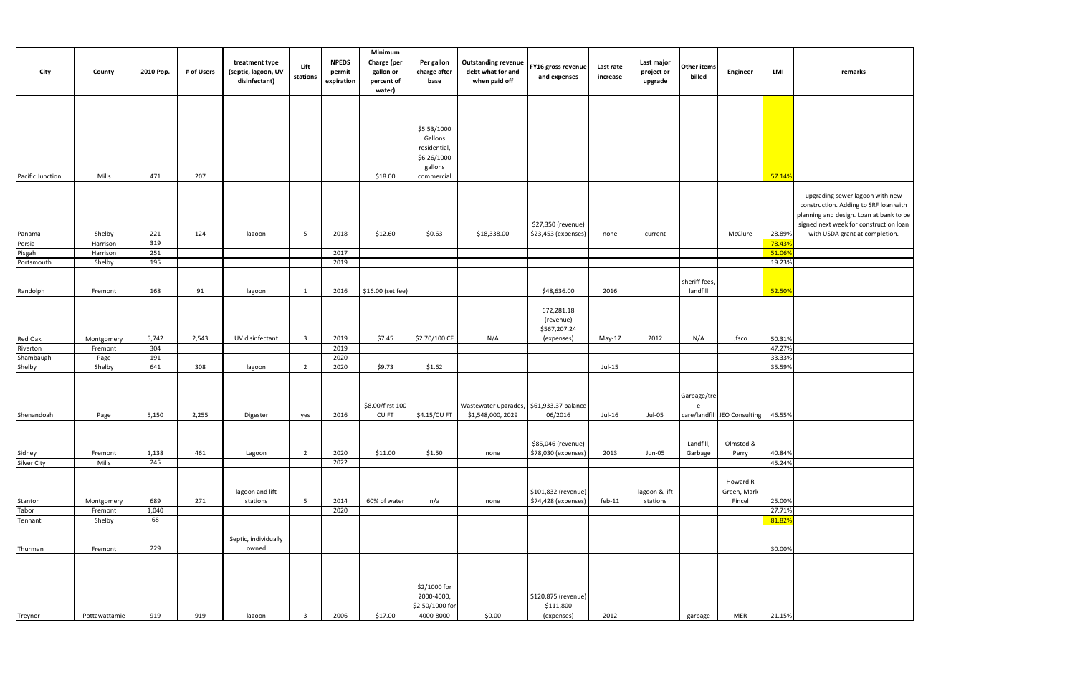|               | remarks                                                                                                                                                                                         |
|---------------|-------------------------------------------------------------------------------------------------------------------------------------------------------------------------------------------------|
|               |                                                                                                                                                                                                 |
|               |                                                                                                                                                                                                 |
| ó             |                                                                                                                                                                                                 |
|               | upgrading sewer lagoon with new<br>construction. Adding to SRF loan with<br>planning and design. Loan at bank to be<br>signed next week for construction loan<br>with USDA grant at completion. |
|               |                                                                                                                                                                                                 |
| $\frac{1}{6}$ |                                                                                                                                                                                                 |
| 6             |                                                                                                                                                                                                 |
| $\frac{1}{2}$ |                                                                                                                                                                                                 |
|               |                                                                                                                                                                                                 |
|               |                                                                                                                                                                                                 |
|               |                                                                                                                                                                                                 |
|               |                                                                                                                                                                                                 |
| $\frac{1}{6}$ |                                                                                                                                                                                                 |
| 6             |                                                                                                                                                                                                 |
|               |                                                                                                                                                                                                 |
|               |                                                                                                                                                                                                 |
|               |                                                                                                                                                                                                 |
|               |                                                                                                                                                                                                 |
| ó             |                                                                                                                                                                                                 |
|               |                                                                                                                                                                                                 |
|               |                                                                                                                                                                                                 |
| $\frac{6}{6}$ |                                                                                                                                                                                                 |
|               |                                                                                                                                                                                                 |
|               |                                                                                                                                                                                                 |
|               |                                                                                                                                                                                                 |
| $\frac{1}{6}$ |                                                                                                                                                                                                 |
|               |                                                                                                                                                                                                 |
|               |                                                                                                                                                                                                 |
|               |                                                                                                                                                                                                 |
| $\frac{1}{2}$ |                                                                                                                                                                                                 |
|               |                                                                                                                                                                                                 |
| ó             |                                                                                                                                                                                                 |

| City                  | County        | 2010 Pop. | # of Users | treatment type<br>(septic, lagoon, UV<br>disinfectant) | Lift<br>stations        | <b>NPEDS</b><br>permit<br>expiration | Minimum<br>Charge (per<br>gallon or<br>percent of<br>water) | Per gallon<br>charge after<br>base | <b>Outstanding revenue</b><br>debt what for and<br>when paid off | FY16 gross revenue<br>and expenses | Last rate<br>increase | Last major<br>project or<br>upgrade | Other items<br>billed | Engineer                     | LMI    | remarks                  |
|-----------------------|---------------|-----------|------------|--------------------------------------------------------|-------------------------|--------------------------------------|-------------------------------------------------------------|------------------------------------|------------------------------------------------------------------|------------------------------------|-----------------------|-------------------------------------|-----------------------|------------------------------|--------|--------------------------|
|                       |               |           |            |                                                        |                         |                                      |                                                             |                                    |                                                                  |                                    |                       |                                     |                       |                              |        |                          |
|                       |               |           |            |                                                        |                         |                                      |                                                             |                                    |                                                                  |                                    |                       |                                     |                       |                              |        |                          |
|                       |               |           |            |                                                        |                         |                                      |                                                             | \$5.53/1000                        |                                                                  |                                    |                       |                                     |                       |                              |        |                          |
|                       |               |           |            |                                                        |                         |                                      |                                                             | Gallons                            |                                                                  |                                    |                       |                                     |                       |                              |        |                          |
|                       |               |           |            |                                                        |                         |                                      |                                                             | residential,                       |                                                                  |                                    |                       |                                     |                       |                              |        |                          |
|                       |               |           |            |                                                        |                         |                                      |                                                             | \$6.26/1000                        |                                                                  |                                    |                       |                                     |                       |                              |        |                          |
| Pacific Junction      | Mills         | 471       | 207        |                                                        |                         |                                      | \$18.00                                                     | gallons<br>commercial              |                                                                  |                                    |                       |                                     |                       |                              | 57.14% |                          |
|                       |               |           |            |                                                        |                         |                                      |                                                             |                                    |                                                                  |                                    |                       |                                     |                       |                              |        |                          |
|                       |               |           |            |                                                        |                         |                                      |                                                             |                                    |                                                                  |                                    |                       |                                     |                       |                              |        | upgrading sewer lago     |
|                       |               |           |            |                                                        |                         |                                      |                                                             |                                    |                                                                  |                                    |                       |                                     |                       |                              |        | construction. Adding to  |
|                       |               |           |            |                                                        |                         |                                      |                                                             |                                    |                                                                  |                                    |                       |                                     |                       |                              |        | planning and design. Loa |
|                       |               |           |            |                                                        |                         |                                      |                                                             |                                    |                                                                  | \$27,350 (revenue)                 |                       |                                     |                       |                              |        | signed next week for co  |
| Panama                | Shelby        | 221       | 124        | lagoon                                                 | 5                       | 2018                                 | \$12.60                                                     | \$0.63                             | \$18,338.00                                                      | \$23,453 (expenses)                | none                  | current                             |                       | McClure                      | 28.89% | with USDA grant at       |
| Persia<br>Pisgah      | Harrison      | 319       |            |                                                        |                         |                                      |                                                             |                                    |                                                                  |                                    |                       |                                     |                       |                              | 78.43% |                          |
|                       | Harrison      | 251       |            |                                                        |                         | 2017                                 |                                                             |                                    |                                                                  |                                    |                       |                                     |                       |                              | 51.06% |                          |
| Portsmouth            | Shelby        | 195       |            |                                                        |                         | 2019                                 |                                                             |                                    |                                                                  |                                    |                       |                                     |                       |                              | 19.23% |                          |
|                       |               |           |            |                                                        |                         |                                      |                                                             |                                    |                                                                  |                                    |                       |                                     | sheriff fees,         |                              |        |                          |
| Randolph              | Fremont       | 168       | 91         | lagoon                                                 | 1                       | 2016                                 | \$16.00 (set fee)                                           |                                    |                                                                  | \$48,636.00                        | 2016                  |                                     | landfill              |                              | 52.50% |                          |
|                       |               |           |            |                                                        |                         |                                      |                                                             |                                    |                                                                  |                                    |                       |                                     |                       |                              |        |                          |
|                       |               |           |            |                                                        |                         |                                      |                                                             |                                    |                                                                  | 672,281.18                         |                       |                                     |                       |                              |        |                          |
|                       |               |           |            |                                                        |                         |                                      |                                                             |                                    |                                                                  | (revenue)                          |                       |                                     |                       |                              |        |                          |
|                       |               |           |            |                                                        |                         |                                      |                                                             |                                    |                                                                  | \$567,207.24                       |                       |                                     |                       |                              |        |                          |
| Red Oak               | Montgomery    | 5,742     | 2,543      | UV disinfectant                                        | $\overline{\mathbf{3}}$ | 2019                                 | \$7.45                                                      | \$2.70/100 CF                      | N/A                                                              | (expenses)                         | May-17                | 2012                                | N/A                   | Jfsco                        | 50.31% |                          |
| Riverton              | Fremont       | 304       |            |                                                        |                         | 2019                                 |                                                             |                                    |                                                                  |                                    |                       |                                     |                       |                              | 47.27% |                          |
| Shambaugh             | Page          | 191       |            |                                                        |                         | 2020                                 |                                                             |                                    |                                                                  |                                    |                       |                                     |                       |                              | 33.33% |                          |
| Shelby                | Shelby        | 641       | 308        | lagoon                                                 | $\overline{2}$          | 2020                                 | \$9.73                                                      | \$1.62                             |                                                                  |                                    | $Jul-15$              |                                     |                       |                              | 35.59% |                          |
|                       |               |           |            |                                                        |                         |                                      |                                                             |                                    |                                                                  |                                    |                       |                                     |                       |                              |        |                          |
|                       |               |           |            |                                                        |                         |                                      |                                                             |                                    |                                                                  |                                    |                       |                                     | Garbage/tre           |                              |        |                          |
|                       |               |           |            |                                                        |                         |                                      | \$8.00/first 100                                            |                                    | Wastewater upgrades, \$61,933.37 balance                         |                                    |                       |                                     | e                     |                              |        |                          |
| Shenandoah            | Page          | 5,150     | 2,255      | Digester                                               | yes                     | 2016                                 | CUFT                                                        | \$4.15/CU FT                       | \$1,548,000, 2029                                                | 06/2016                            | Jul-16                | Jul-05                              |                       | care/landfill JEO Consulting | 46.55% |                          |
|                       |               |           |            |                                                        |                         |                                      |                                                             |                                    |                                                                  |                                    |                       |                                     |                       |                              |        |                          |
|                       |               |           |            |                                                        |                         |                                      |                                                             |                                    |                                                                  |                                    |                       |                                     |                       |                              |        |                          |
|                       |               |           |            |                                                        |                         |                                      |                                                             |                                    |                                                                  | \$85,046 (revenue)                 |                       |                                     | Landfill,             | Olmsted &                    |        |                          |
| Sidney<br>Silver City | Fremont       | 1,138     | 461        | Lagoon                                                 | $\overline{2}$          | 2020                                 | \$11.00                                                     | \$1.50                             | none                                                             | \$78,030 (expenses)                | 2013                  | Jun-05                              | Garbage               | Perry                        | 40.84% |                          |
|                       | Mills         | 245       |            |                                                        |                         | 2022                                 |                                                             |                                    |                                                                  |                                    |                       |                                     |                       |                              | 45.24% |                          |
|                       |               |           |            |                                                        |                         |                                      |                                                             |                                    |                                                                  |                                    |                       |                                     |                       |                              |        |                          |
|                       |               |           |            | lagoon and lift                                        |                         |                                      |                                                             |                                    |                                                                  | \$101,832 (revenue)                |                       | lagoon & lift                       |                       | Howard R<br>Green, Mark      |        |                          |
|                       | Montgomery    | 689       | 271        | stations                                               | $5\overline{5}$         | 2014                                 | 60% of water                                                | n/a                                | none                                                             | \$74,428 (expenses)                | $feb-11$              | stations                            |                       | Fincel                       | 25.00% |                          |
| Stanton<br>Tabor      | Fremont       | 1,040     |            |                                                        |                         | 2020                                 |                                                             |                                    |                                                                  |                                    |                       |                                     |                       |                              | 27.71% |                          |
| Tennant               | Shelby        | 68        |            |                                                        |                         |                                      |                                                             |                                    |                                                                  |                                    |                       |                                     |                       |                              | 81.82% |                          |
|                       |               |           |            |                                                        |                         |                                      |                                                             |                                    |                                                                  |                                    |                       |                                     |                       |                              |        |                          |
|                       |               |           |            | Septic, individually                                   |                         |                                      |                                                             |                                    |                                                                  |                                    |                       |                                     |                       |                              |        |                          |
| Thurman               | Fremont       | 229       |            | owned                                                  |                         |                                      |                                                             |                                    |                                                                  |                                    |                       |                                     |                       |                              | 30.00% |                          |
|                       |               |           |            |                                                        |                         |                                      |                                                             |                                    |                                                                  |                                    |                       |                                     |                       |                              |        |                          |
|                       |               |           |            |                                                        |                         |                                      |                                                             |                                    |                                                                  |                                    |                       |                                     |                       |                              |        |                          |
|                       |               |           |            |                                                        |                         |                                      |                                                             |                                    |                                                                  |                                    |                       |                                     |                       |                              |        |                          |
|                       |               |           |            |                                                        |                         |                                      |                                                             | \$2/1000 for                       |                                                                  |                                    |                       |                                     |                       |                              |        |                          |
|                       |               |           |            |                                                        |                         |                                      |                                                             | 2000-4000,<br>\$2.50/1000 for      |                                                                  | \$120,875 (revenue)<br>\$111,800   |                       |                                     |                       |                              |        |                          |
| Treynor               | Pottawattamie | 919       | 919        | lagoon                                                 | -3                      | 2006                                 | \$17.00                                                     | 4000-8000                          | \$0.00                                                           | (expenses)                         | 2012                  |                                     | garbage               | MER                          | 21.15% |                          |
|                       |               |           |            |                                                        |                         |                                      |                                                             |                                    |                                                                  |                                    |                       |                                     |                       |                              |        |                          |